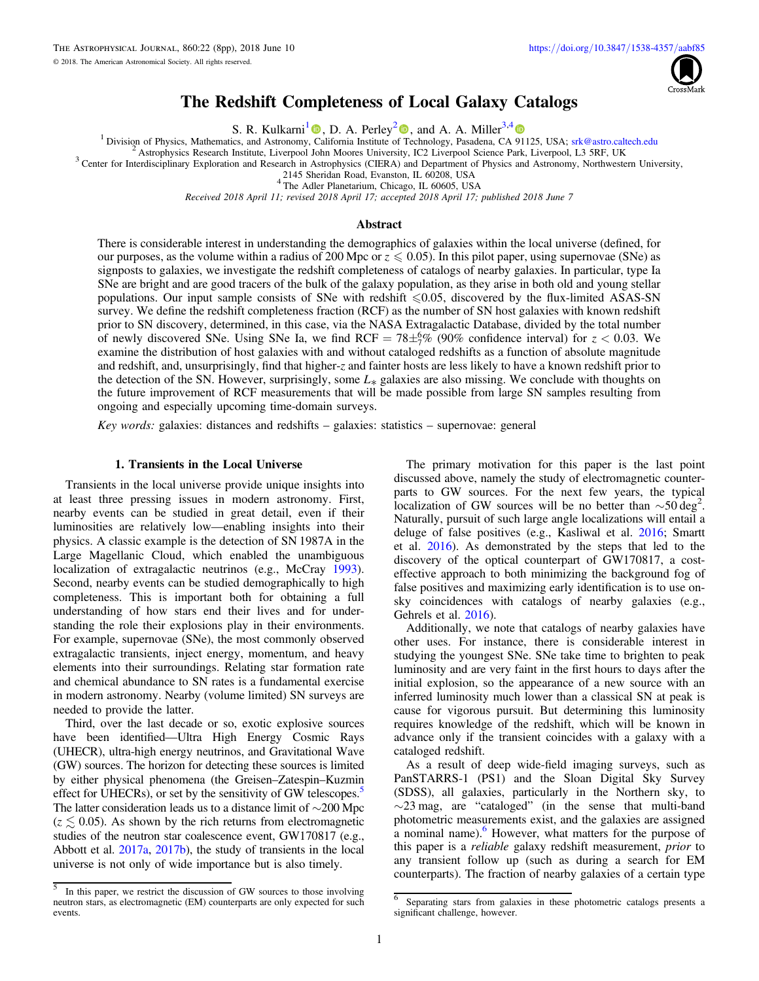

# The Redshift Completeness of Local Galaxy Catalogs

**S. R. Kulkarni<sup>[1](https://orcid.org/0000-0001-5390-8563)</sup> (D**, D. A. Perley<sup>[2](https://orcid.org/0000-0001-8472-1996)</sup> (D[,](https://orcid.org/0000-0001-8472-1996) and A. A. Miller<sup>3,[4](https://orcid.org/0000-0001-9515-478X)</sup> (D) Solvision of Physics, Mathematics, and Astronomy, California Institute of Technology, Pasadena, CA 91125, USA; srk@astro.caltech.edu

<sup>2</sup> Astrophysics Research Institute, Liverpool John Moores University, IC2 Liverpool Science Park, Liverpool, L3 5RF, UK<br><sup>3</sup> Center [f](https://orcid.org/0000-0001-8472-1996)or Interdisciplinary Exploration and Research in Astrophysics (CIERA) and Department of P

2145 Sheridan Road, Evanston, IL 60208, USA <sup>4</sup> The Adler Planetarium, Chicago, IL 60605, USA

Received 2018 April 11; revised 2018 April 17; accepted 2018 April 17; published 2018 June 7

### Abstract

There is considerable interest in understanding the demographics of galaxies within the local universe (defined, for our purposes, as the volume within a radius of 200 Mpc or  $z \le 0.05$ ). In this pilot paper, using supernovae (SNe) as signposts to galaxies, we investigate the redshift completeness of catalogs of nearby galaxies. In particular, type Ia SNe are bright and are good tracers of the bulk of the galaxy population, as they arise in both old and young stellar populations. Our input sample consists of SNe with redshift  $\leq 0.05$ , discovered by the flux-limited ASAS-SN survey. We define the redshift completeness fraction (RCF) as the number of SN host galaxies with known redshift prior to SN discovery, determined, in this case, via the NASA Extragalactic Database, divided by the total number of newly discovered SNe. Using SNe Ia, we find RCF =  $78\pm\frac{6}{7}\%$  (90% confidence interval) for  $z < 0.03$ . We examine the distribution of host galaxies with and without cataloged redshifts as a function of absolute magnitude and redshift, and, unsurprisingly, find that higher-z and fainter hosts are less likely to have a known redshift prior to the detection of the SN. However, surprisingly, some  $L_*$  galaxies are also missing. We conclude with thoughts on the future improvement of RCF measurements that will be made possible from large SN samples resulting from ongoing and especially upcoming time-domain surveys.

Key words: galaxies: distances and redshifts – galaxies: statistics – supernovae: general

### 1. Transients in the Local Universe

Transients in the local universe provide unique insights into at least three pressing issues in modern astronomy. First, nearby events can be studied in great detail, even if their luminosities are relatively low—enabling insights into their physics. A classic example is the detection of SN 1987A in the Large Magellanic Cloud, which enabled the unambiguous localization of extragalactic neutrinos (e.g., McCray [1993](#page-7-0)). Second, nearby events can be studied demographically to high completeness. This is important both for obtaining a full understanding of how stars end their lives and for understanding the role their explosions play in their environments. For example, supernovae (SNe), the most commonly observed extragalactic transients, inject energy, momentum, and heavy elements into their surroundings. Relating star formation rate and chemical abundance to SN rates is a fundamental exercise in modern astronomy. Nearby (volume limited) SN surveys are needed to provide the latter.

Third, over the last decade or so, exotic explosive sources have been identified—Ultra High Energy Cosmic Rays (UHECR), ultra-high energy neutrinos, and Gravitational Wave (GW) sources. The horizon for detecting these sources is limited by either physical phenomena (the Greisen–Zatespin–Kuzmin effect for UHECRs), or set by the sensitivity of GW telescopes.<sup>3</sup> The latter consideration leads us to a distance limit of ∼200 Mpc  $(z \leq 0.05)$ . As shown by the rich returns from electromagnetic studies of the neutron star coalescence event, GW170817 (e.g., Abbott et al. [2017a,](#page-7-0) [2017b](#page-7-0)), the study of transients in the local universe is not only of wide importance but is also timely.

The primary motivation for this paper is the last point discussed above, namely the study of electromagnetic counterparts to GW sources. For the next few years, the typical localization of GW sources will be no better than  $\sim$ 50 deg<sup>2</sup>. Naturally, pursuit of such large angle localizations will entail a deluge of false positives (e.g., Kasliwal et al. [2016](#page-7-0); Smartt et al. [2016](#page-7-0)). As demonstrated by the steps that led to the discovery of the optical counterpart of GW170817, a costeffective approach to both minimizing the background fog of false positives and maximizing early identification is to use onsky coincidences with catalogs of nearby galaxies (e.g., Gehrels et al. [2016](#page-7-0)).

Additionally, we note that catalogs of nearby galaxies have other uses. For instance, there is considerable interest in studying the youngest SNe. SNe take time to brighten to peak luminosity and are very faint in the first hours to days after the initial explosion, so the appearance of a new source with an inferred luminosity much lower than a classical SN at peak is cause for vigorous pursuit. But determining this luminosity requires knowledge of the redshift, which will be known in advance only if the transient coincides with a galaxy with a cataloged redshift.

As a result of deep wide-field imaging surveys, such as PanSTARRS-1 (PS1) and the Sloan Digital Sky Survey (SDSS), all galaxies, particularly in the Northern sky, to ∼23 mag, are "cataloged" (in the sense that multi-band photometric measurements exist, and the galaxies are assigned a nominal name).<sup>6</sup> However, what matters for the purpose of this paper is a reliable galaxy redshift measurement, prior to any transient follow up (such as during a search for EM counterparts). The fraction of nearby galaxies of a certain type

<sup>5</sup> In this paper, we restrict the discussion of GW sources to those involving neutron stars, as electromagnetic (EM) counterparts are only expected for such events.

<sup>6</sup> Separating stars from galaxies in these photometric catalogs presents a significant challenge, however.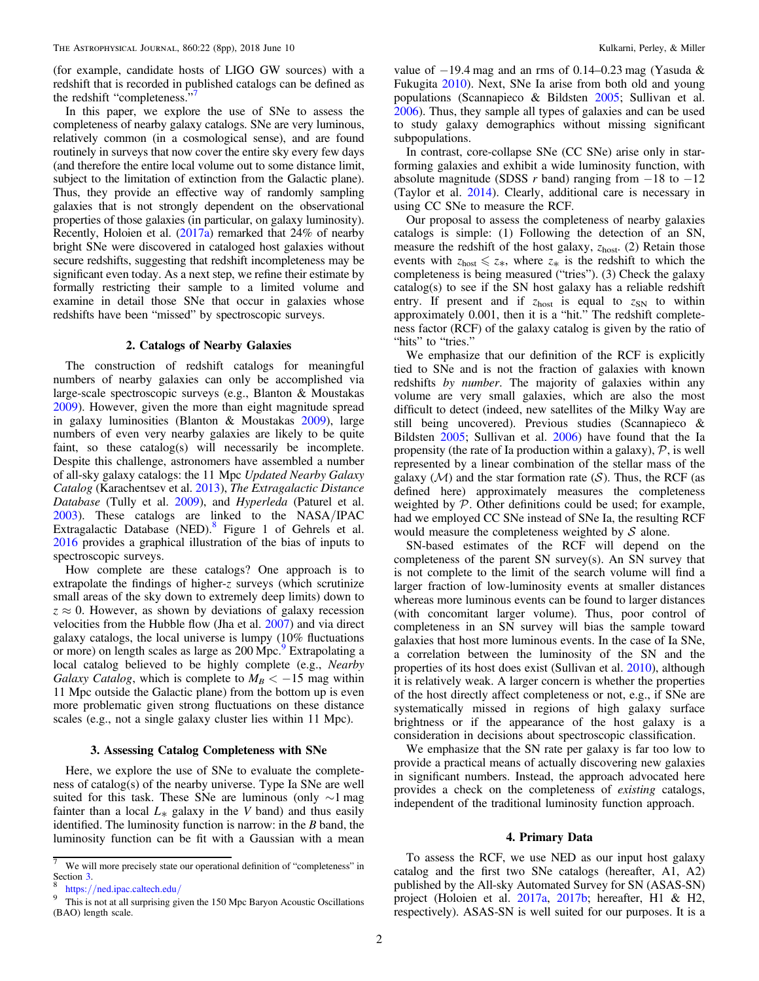<span id="page-1-0"></span>(for example, candidate hosts of LIGO GW sources) with a redshift that is recorded in published catalogs can be defined as the redshift "completeness." 7

In this paper, we explore the use of SNe to assess the completeness of nearby galaxy catalogs. SNe are very luminous, relatively common (in a cosmological sense), and are found routinely in surveys that now cover the entire sky every few days (and therefore the entire local volume out to some distance limit, subject to the limitation of extinction from the Galactic plane). Thus, they provide an effective way of randomly sampling galaxies that is not strongly dependent on the observational properties of those galaxies (in particular, on galaxy luminosity). Recently, Holoien et al. ([2017a](#page-7-0)) remarked that 24% of nearby bright SNe were discovered in cataloged host galaxies without secure redshifts, suggesting that redshift incompleteness may be significant even today. As a next step, we refine their estimate by formally restricting their sample to a limited volume and examine in detail those SNe that occur in galaxies whose redshifts have been "missed" by spectroscopic surveys.

#### 2. Catalogs of Nearby Galaxies

The construction of redshift catalogs for meaningful numbers of nearby galaxies can only be accomplished via large-scale spectroscopic surveys (e.g., Blanton & Moustakas [2009](#page-7-0)). However, given the more than eight magnitude spread in galaxy luminosities (Blanton & Moustakas [2009](#page-7-0)), large numbers of even very nearby galaxies are likely to be quite faint, so these catalog(s) will necessarily be incomplete. Despite this challenge, astronomers have assembled a number of all-sky galaxy catalogs: the 11 Mpc Updated Nearby Galaxy Catalog (Karachentsev et al. [2013](#page-7-0)), The Extragalactic Distance Database (Tully et al. [2009](#page-7-0)), and Hyperleda (Paturel et al. [2003](#page-7-0)). These catalogs are linked to the NASA/IPAC Extragalactic Database (NED).<sup>8</sup> Figure 1 of Gehrels et al. [2016](#page-7-0) provides a graphical illustration of the bias of inputs to spectroscopic surveys.

How complete are these catalogs? One approach is to extrapolate the findings of higher-z surveys (which scrutinize small areas of the sky down to extremely deep limits) down to  $z \approx 0$ . However, as shown by deviations of galaxy recession velocities from the Hubble flow (Jha et al. [2007](#page-7-0)) and via direct galaxy catalogs, the local universe is lumpy (10% fluctuations or more) on length scales as large as 200 Mpc. Extrapolating a local catalog believed to be highly complete (e.g., Nearby Galaxy Catalog, which is complete to  $M_B < -15$  mag within 11 Mpc outside the Galactic plane) from the bottom up is even more problematic given strong fluctuations on these distance scales (e.g., not a single galaxy cluster lies within 11 Mpc).

### 3. Assessing Catalog Completeness with SNe

Here, we explore the use of SNe to evaluate the completeness of catalog(s) of the nearby universe. Type Ia SNe are well suited for this task. These SNe are luminous (only ∼1 mag fainter than a local  $L_*$  galaxy in the V band) and thus easily identified. The luminosity function is narrow: in the  $B$  band, the luminosity function can be fit with a Gaussian with a mean

value of  $-19.4$  mag and an rms of 0.14–0.23 mag (Yasuda & Fukugita [2010](#page-7-0)). Next, SNe Ia arise from both old and young populations (Scannapieco & Bildsten [2005](#page-7-0); Sullivan et al. [2006](#page-7-0)). Thus, they sample all types of galaxies and can be used to study galaxy demographics without missing significant subpopulations.

In contrast, core-collapse SNe (CC SNe) arise only in starforming galaxies and exhibit a wide luminosity function, with absolute magnitude (SDSS r band) ranging from  $-18$  to  $-12$ (Taylor et al. [2014](#page-7-0)). Clearly, additional care is necessary in using CC SNe to measure the RCF.

Our proposal to assess the completeness of nearby galaxies catalogs is simple: (1) Following the detection of an SN, measure the redshift of the host galaxy,  $z<sub>host</sub>$ . (2) Retain those events with  $z_{\text{host}} \leq z_*$ , where  $z_*$  is the redshift to which the completeness is being measured ("tries"). (3) Check the galaxy catalog(s) to see if the SN host galaxy has a reliable redshift entry. If present and if  $z_{\text{host}}$  is equal to  $z_{\text{SN}}$  to within approximately 0.001, then it is a "hit." The redshift completeness factor (RCF) of the galaxy catalog is given by the ratio of "hits" to "tries."

We emphasize that our definition of the RCF is explicitly tied to SNe and is not the fraction of galaxies with known redshifts by number. The majority of galaxies within any volume are very small galaxies, which are also the most difficult to detect (indeed, new satellites of the Milky Way are still being uncovered). Previous studies (Scannapieco & Bildsten [2005](#page-7-0); Sullivan et al. [2006](#page-7-0)) have found that the Ia propensity (the rate of Ia production within a galaxy),  $P$ , is well represented by a linear combination of the stellar mass of the galaxy  $(M)$  and the star formation rate  $(S)$ . Thus, the RCF (as defined here) approximately measures the completeness weighted by  $P$ . Other definitions could be used; for example, had we employed CC SNe instead of SNe Ia, the resulting RCF would measure the completeness weighted by  $S$  alone.

SN-based estimates of the RCF will depend on the completeness of the parent SN survey(s). An SN survey that is not complete to the limit of the search volume will find a larger fraction of low-luminosity events at smaller distances whereas more luminous events can be found to larger distances (with concomitant larger volume). Thus, poor control of completeness in an SN survey will bias the sample toward galaxies that host more luminous events. In the case of Ia SNe, a correlation between the luminosity of the SN and the properties of its host does exist (Sullivan et al. [2010](#page-7-0)), although it is relatively weak. A larger concern is whether the properties of the host directly affect completeness or not, e.g., if SNe are systematically missed in regions of high galaxy surface brightness or if the appearance of the host galaxy is a consideration in decisions about spectroscopic classification.

We emphasize that the SN rate per galaxy is far too low to provide a practical means of actually discovering new galaxies in significant numbers. Instead, the approach advocated here provides a check on the completeness of existing catalogs, independent of the traditional luminosity function approach.

### 4. Primary Data

 $\frac{7}{10}$  We will more precisely state our operational definition of "completeness" in Section 3.

<sup>&</sup>lt;sup>8</sup> https://[ned.ipac.caltech.edu](https://ned.ipac.caltech.edu/)/<br><sup>9</sup> This is not at all surprising given the 150 Mpc Baryon Acoustic Oscillations (BAO) length scale.

To assess the RCF, we use NED as our input host galaxy catalog and the first two SNe catalogs (hereafter, A1, A2) published by the All-sky Automated Survey for SN (ASAS-SN) project (Holoien et al. [2017a](#page-7-0), [2017b;](#page-7-0) hereafter, H1 & H2, respectively). ASAS-SN is well suited for our purposes. It is a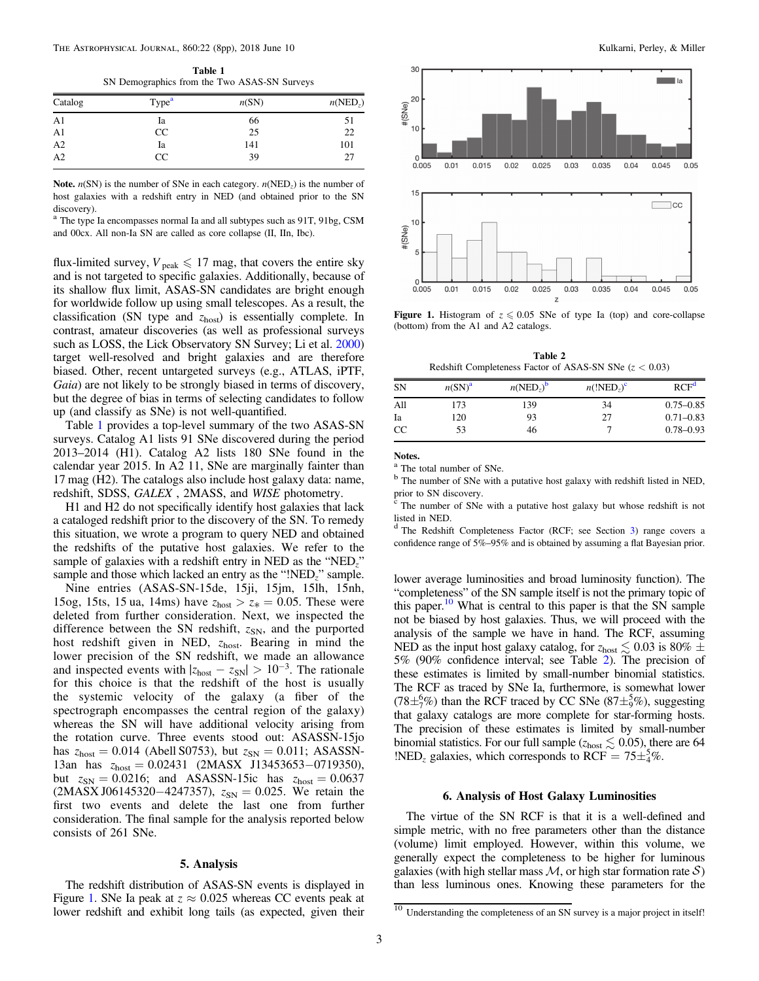Table 1 SN Demographics from the Two ASAS-SN Surveys

| Catalog        | Type <sup>a</sup> | n(SN) | $n(\text{NED}_z)$ |
|----------------|-------------------|-------|-------------------|
| A <sub>1</sub> | Ia                | 66    | 51                |
| A <sub>1</sub> | CC                | 25    | 22                |
| $\frac{1}{A2}$ | Ia                | 141   | 101               |
|                | CC                | 39    | 27                |

**Note.**  $n(SN)$  is the number of SNe in each category.  $n(NED<sub>z</sub>)$  is the number of host galaxies with a redshift entry in NED (and obtained prior to the SN

discovery).<br><sup>a</sup> The type Ia encompasses normal Ia and all subtypes such as 91T, 91bg, CSM and 00cx. All non-Ia SN are called as core collapse (II, IIn, Ibc).

flux-limited survey,  $V_{\text{peak}} \leq 17$  mag, that covers the entire sky and is not targeted to specific galaxies. Additionally, because of its shallow flux limit, ASAS-SN candidates are bright enough for worldwide follow up using small telescopes. As a result, the classification (SN type and  $z<sub>host</sub>$ ) is essentially complete. In contrast, amateur discoveries (as well as professional surveys such as LOSS, the Lick Observatory SN Survey; Li et al. [2000](#page-7-0)) target well-resolved and bright galaxies and are therefore biased. Other, recent untargeted surveys (e.g., ATLAS, iPTF, Gaia) are not likely to be strongly biased in terms of discovery, but the degree of bias in terms of selecting candidates to follow up (and classify as SNe) is not well-quantified.

Table 1 provides a top-level summary of the two ASAS-SN surveys. Catalog A1 lists 91 SNe discovered during the period 2013–2014 (H1). Catalog A2 lists 180 SNe found in the calendar year 2015. In A2 11, SNe are marginally fainter than 17 mag (H2). The catalogs also include host galaxy data: name, redshift, SDSS, GALEX , 2MASS, and WISE photometry.

H1 and H2 do not specifically identify host galaxies that lack a cataloged redshift prior to the discovery of the SN. To remedy this situation, we wrote a program to query NED and obtained the redshifts of the putative host galaxies. We refer to the sample of galaxies with a redshift entry in NED as the "NED<sub>z</sub>" sample and those which lacked an entry as the "!NED<sub>z</sub>" sample.

Nine entries (ASAS-SN-15de, 15ji, 15jm, 15lh, 15nh, 15og, 15ts, 15 ua, 14ms) have  $z_{\text{host}} > z_* = 0.05$ . These were deleted from further consideration. Next, we inspected the difference between the SN redshift,  $z_{SN}$ , and the purported host redshift given in NED,  $z_{host}$ . Bearing in mind the lower precision of the SN redshift, we made an allowance and inspected events with  $|z_{\text{host}} - z_{\text{SN}}| > 10^{-3}$ . The rationale for this choice is that the redshift of the host is usually the systemic velocity of the galaxy (a fiber of the spectrograph encompasses the central region of the galaxy) whereas the SN will have additional velocity arising from the rotation curve. Three events stood out: ASASSN-15jo has  $z_{host} = 0.014$  (Abell S0753), but  $z_{SN} = 0.011$ ; ASASSN-13an has zhost = 0.02431 (2MASX J13453653−0719350), but  $z_{SN} = 0.0216$ ; and ASASSN-15ic has  $z_{host} = 0.0637$  $(2MASX J06145320-4247357), z_{SN} = 0.025$ . We retain the first two events and delete the last one from further consideration. The final sample for the analysis reported below consists of 261 SNe.

### 5. Analysis

The redshift distribution of ASAS-SN events is displayed in Figure 1. SNe Ia peak at  $z \approx 0.025$  whereas CC events peak at lower redshift and exhibit long tails (as expected, given their



**Figure 1.** Histogram of  $z \le 0.05$  SNe of type Ia (top) and core-collapse (bottom) from the A1 and A2 catalogs.

Table 2 Redshift Completeness Factor of ASAS-SN SNe  $(z < 0.03)$ 

| <b>SN</b>     | $n(SN)^a$ | $n(\text{NED}_z)^b$ | $n(\text{!NED}_2)^c$ | RCF <sup>d</sup> |
|---------------|-----------|---------------------|----------------------|------------------|
| All           | 173       | 139                 | 34                   | $0.75 - 0.85$    |
| Ia            | 120       | 93                  | 27                   | $0.71 - 0.83$    |
| <sub>CC</sub> | 53        | 46                  |                      | $0.78 - 0.93$    |

Notes.

<sup>a</sup> The total number of SNe.

<sup>b</sup> The number of SNe with a putative host galaxy with redshift listed in NED, prior to SN discovery.

 $\int_{0}^{L}$  The number of SNe with a putative host galaxy but whose redshift is not listed in NED.

<sup>d</sup> The Redshift Completeness Factor (RCF; see Section [3](#page-1-0)) range covers a confidence range of 5%–95% and is obtained by assuming a flat Bayesian prior.

lower average luminosities and broad luminosity function). The "completeness" of the SN sample itself is not the primary topic of this paper.10 What is central to this paper is that the SN sample not be biased by host galaxies. Thus, we will proceed with the analysis of the sample we have in hand. The RCF, assuming NED as the input host galaxy catalog, for  $z_{\rm host} \lesssim 0.03$  is 80%  $\pm$ 5% (90% confidence interval; see Table 2). The precision of these estimates is limited by small-number binomial statistics. The RCF as traced by SNe Ia, furthermore, is somewhat lower (78 $\pm \frac{6}{7}$ %) than the RCF traced by CC SNe (87 $\pm \frac{5}{9}$ %), suggesting that galaxy catalogs are more complete for star-forming hosts. The precision of these estimates is limited by small-number binomial statistics. For our full sample ( $z_{\text{host}} \lesssim 0.05$ ), there are 64 !NED<sub>z</sub> galaxies, which corresponds to RCF =  $75\pm\frac{5}{4}\%$ .

### 6. Analysis of Host Galaxy Luminosities

The virtue of the SN RCF is that it is a well-defined and simple metric, with no free parameters other than the distance (volume) limit employed. However, within this volume, we generally expect the completeness to be higher for luminous galaxies (with high stellar mass  $M$ , or high star formation rate  $S$ ) than less luminous ones. Knowing these parameters for the

 $\frac{10}{10}$  Understanding the completeness of an SN survey is a major project in itself!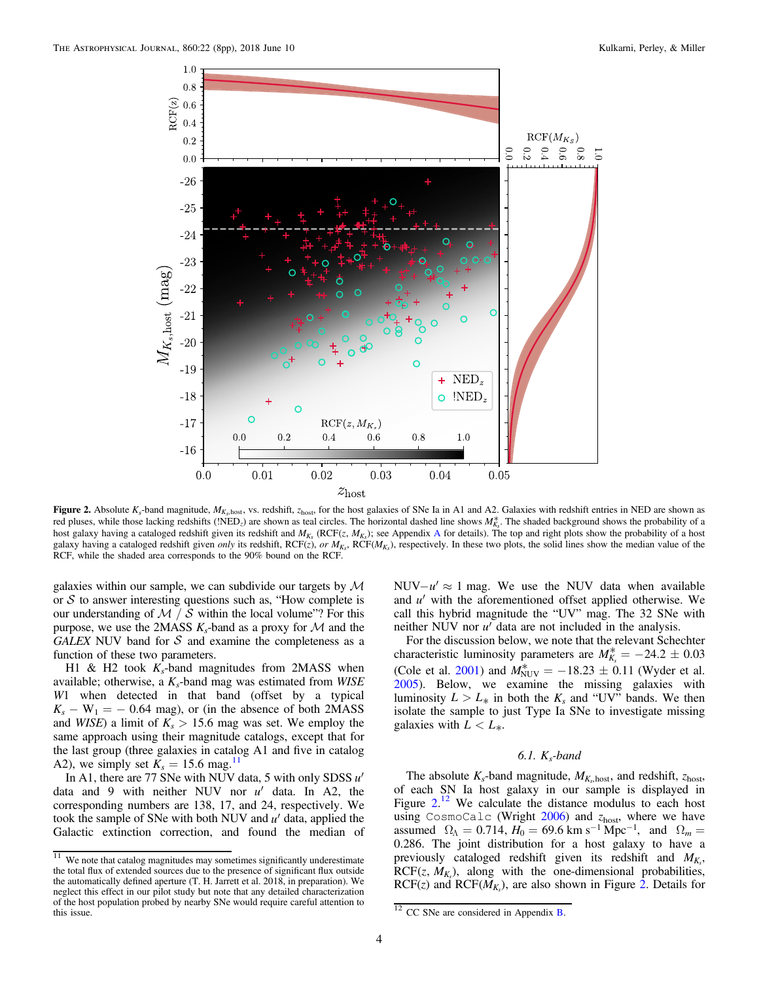<span id="page-3-0"></span>

Figure 2. Absolute  $K_s$ -band magnitude,  $M_{K_s, \text{host}}$ , vs. redshift,  $z_{\text{host}}$ , for the host galaxies of SNe Ia in A1 and A2. Galaxies with redshift entries in NED are shown as red pluses, while those lacking redshifts (!NED<sub>z</sub>) are shown as teal circles. The horizontal dashed line shows  $M^*_{K_s}$ . The shaded background shows the probability of a host galaxy having a cataloged redshift given its redshift and  $M_K$ , (RCF(z,  $M_K$ ); see [A](#page-5-0)ppendix A for details). The top and right plots show the probability of a host galaxy having a cataloged redshift given *only* its redshift,  $RCF(z)$ , or  $M_{K_s}$ ,  $RCF(M_{K_s})$ , respectively. In these two plots, the solid lines show the median value of the RCF, while the shaded area corresponds to the 90% bound on the RCF.

galaxies within our sample, we can subdivide our targets by  $M$ or  $S$  to answer interesting questions such as, "How complete is our understanding of  $\mathcal{M}$  /  $\mathcal S$  within the local volume"? For this purpose, we use the 2MASS  $K_s$ -band as a proxy for M and the GALEX NUV band for  $S$  and examine the completeness as a function of these two parameters.

H1 & H2 took  $K_s$ -band magnitudes from 2MASS when available; otherwise, a  $K_s$ -band mag was estimated from WISE W1 when detected in that band (offset by a typical  $K_s - W_1 = -0.64$  mag), or (in the absence of both 2MASS and *WISE*) a limit of  $K_s > 15.6$  mag was set. We employ the same approach using their magnitude catalogs, except that for the last group (three galaxies in catalog A1 and five in catalog A2), we simply set  $K_s = 15.6$  mag.<sup>11</sup>

In A1, there are 77 SNe with NUV data, 5 with only SDSS  $u'$ data and 9 with neither NUV nor *u'* data. In A2, the corresponding numbers are 138, 17, and 24, respectively. We took the sample of SNe with both NUV and *u*¢ data, applied the Galactic extinction correction, and found the median of NUV $-u' \approx 1$  mag. We use the NUV data when available and *u'* with the aforementioned offset applied otherwise. We call this hybrid magnitude the "UV" mag. The 32 SNe with neither NUV nor *u'* data are not included in the analysis.

For the discussion below, we note that the relevant Schechter characteristic luminosity parameters are  $M_{K_s}^* = -24.2 \pm 0.03$ (Cole et al. [2001](#page-7-0)) and  $M_{\text{NUV}}^* = -18.23 \pm 0.11$  (Wyder et al. [2005](#page-7-0)). Below, we examine the missing galaxies with luminosity  $L > L_*$  in both the  $K_s$  and "UV" bands. We then isolate the sample to just Type Ia SNe to investigate missing galaxies with  $L < L_*$ .

# 6.1.  $K_s$ -band

The absolute  $K_s$ -band magnitude,  $M_{K_s, \text{host}}$ , and redshift,  $z_{\text{host}}$ , of each SN Ia host galaxy in our sample is displayed in Figure  $2^{12}$  We calculate the distance modulus to each host using CosmoCalc (Wright  $2006$ ) and  $z<sub>host</sub>$ , where we have assumed  $\Omega_{\Lambda} = 0.714$ ,  $H_0 = 69.6$  km s<sup>-1</sup> Mpc<sup>-1</sup>, and  $\Omega_m =$ 0.286. The joint distribution for a host galaxy to have a previously cataloged redshift given its redshift and  $M_{K_s}$ ,  $RCF(z, M_{K_s})$ , along with the one-dimensional probabilities,  $RCF(z)$  and  $RCF(M_{K_s})$ , are also shown in Figure 2. Details for

 $\frac{11}{11}$  We note that catalog magnitudes may sometimes significantly underestimate the total flux of extended sources due to the presence of significant flux outside the automatically defined aperture (T. H. Jarrett et al. 2018, in preparation). We neglect this effect in our pilot study but note that any detailed characterization of the host population probed by nearby SNe would require careful attention to this issue. 12 CC SNe are considered in Appendix [B.](#page-6-0)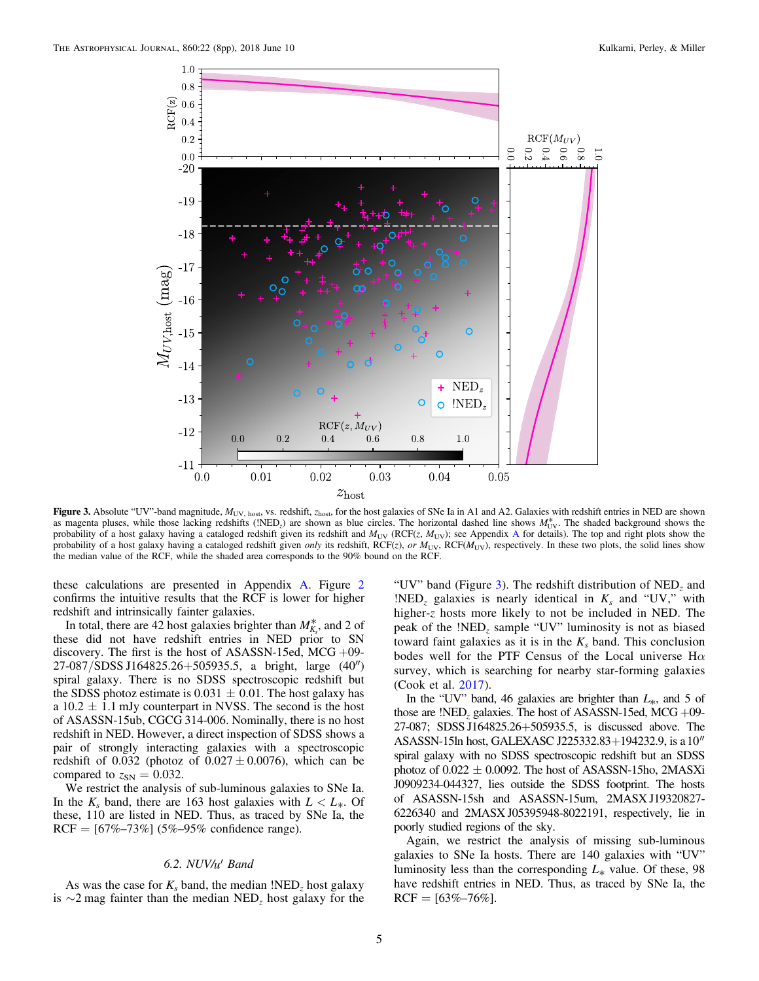<span id="page-4-0"></span>

Figure 3. Absolute "UV"-band magnitude,  $M_{\text{UV, host}}$ , vs. redshift,  $z_{\text{host}}$ , for the host galaxies of SNe Ia in A1 and A2. Galaxies with redshift entries in NED are shown as magenta pluses, while those lacking redshifts (!NED<sub> $z$ </sub>) are shown as blue circles. The horizontal dashed line shows  $M_{\rm UV}^*$ . The shaded background shows the probability of a host galaxy having a cataloged redshift given its redshift and  $M_{UV}$  (RCF(z,  $M_{UV}$ ); see [A](#page-5-0)ppendix A for details). The top and right plots show the probability of a host galaxy having a cataloged redshift given only its redshift, RCF( $z$ ), or  $M_{\text{UV}}$ , RCF( $M_{\text{UV}}$ ), respectively. In these two plots, the solid lines show the median value of the RCF, while the shaded area corresponds to the 90% bound on the RCF.

these calculations are presented in Appendix [A.](#page-5-0) Figure [2](#page-3-0) confirms the intuitive results that the RCF is lower for higher redshift and intrinsically fainter galaxies.

In total, there are 42 host galaxies brighter than  $M^*_{K_s}$ , and 2 of these did not have redshift entries in NED prior to SN discovery. The first is the host of ASASSN-15ed, MCG  $+09$ -27-087/SDSS J164825.26+505935.5, a bright, large (40″) spiral galaxy. There is no SDSS spectroscopic redshift but the SDSS photoz estimate is  $0.031 \pm 0.01$ . The host galaxy has a  $10.2 \pm 1.1$  mJy counterpart in NVSS. The second is the host of ASASSN-15ub, CGCG 314-006. Nominally, there is no host redshift in NED. However, a direct inspection of SDSS shows a pair of strongly interacting galaxies with a spectroscopic redshift of 0.032 (photoz of  $0.027 \pm 0.0076$ ), which can be compared to  $z_{SN} = 0.032$ .

We restrict the analysis of sub-luminous galaxies to SNe Ia. In the  $K_s$  band, there are 163 host galaxies with  $L < L_*$ . Of these, 110 are listed in NED. Thus, as traced by SNe Ia, the  $RCF = [67\% - 73\%] (5\% - 95\% \text{ confidence range}).$ 

### 6.2. NUV/*u*¢ Band

As was the case for  $K_s$  band, the median !NED<sub>z</sub> host galaxy is ∼2 mag fainter than the median NED<sub>z</sub> host galaxy for the

"UV" band (Figure 3). The redshift distribution of  $NED<sub>z</sub>$  and  $!NED_z$  galaxies is nearly identical in  $K_s$  and "UV," with higher-z hosts more likely to not be included in NED. The peak of the  $!NED_z$  sample "UV" luminosity is not as biased toward faint galaxies as it is in the  $K_s$  band. This conclusion bodes well for the PTF Census of the Local universe  $H\alpha$ survey, which is searching for nearby star-forming galaxies (Cook et al. [2017](#page-7-0)).

In the "UV" band, 46 galaxies are brighter than  $L_{\ast}$ , and 5 of those are !NED<sub>z</sub> galaxies. The host of ASASSN-15ed, MCG  $+09$ -27-087; SDSS J164825.26+505935.5, is discussed above. The ASASSN-15ln host, GALEXASC J225332.83+194232.9, is a10 spiral galaxy with no SDSS spectroscopic redshift but an SDSS photoz of  $0.022 \pm 0.0092$ . The host of ASASSN-15ho, 2MASXi J0909234-044327, lies outside the SDSS footprint. The hosts of ASASSN-15sh and ASASSN-15um, 2MASX J19320827- 6226340 and 2MASX J05395948-8022191, respectively, lie in poorly studied regions of the sky.

Again, we restrict the analysis of missing sub-luminous galaxies to SNe Ia hosts. There are 140 galaxies with "UV" luminosity less than the corresponding  $L_*$  value. Of these, 98 have redshift entries in NED. Thus, as traced by SNe Ia, the  $RCF = [63\% - 76\%].$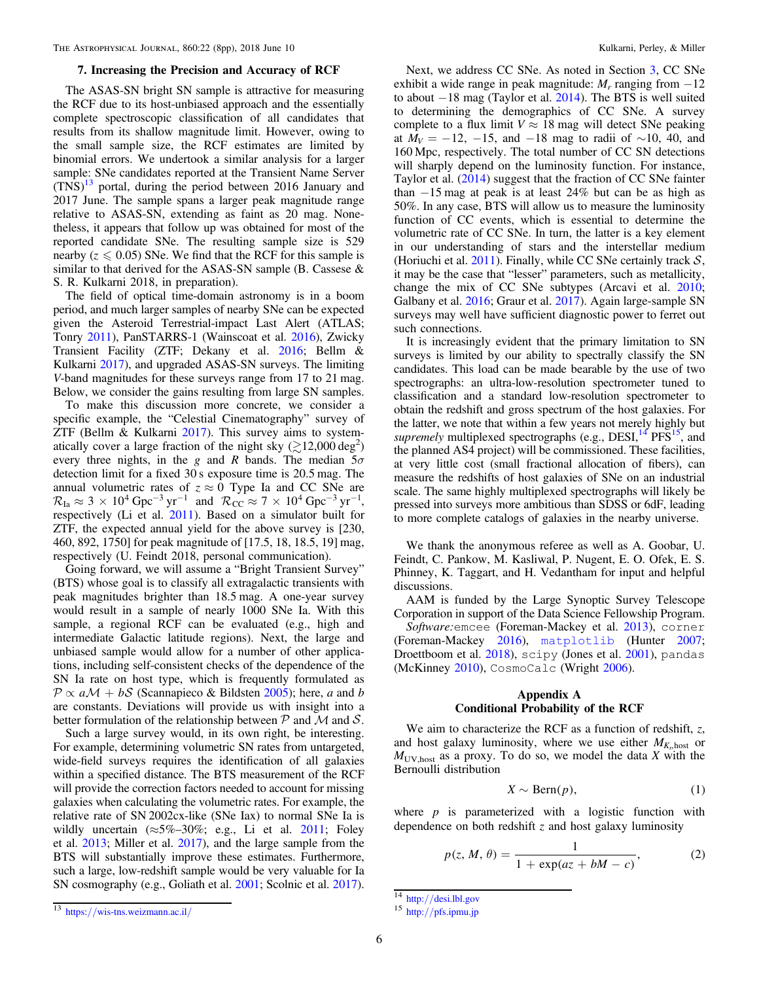#### 7. Increasing the Precision and Accuracy of RCF

<span id="page-5-0"></span>The ASAS-SN bright SN sample is attractive for measuring the RCF due to its host-unbiased approach and the essentially complete spectroscopic classification of all candidates that results from its shallow magnitude limit. However, owing to the small sample size, the RCF estimates are limited by binomial errors. We undertook a similar analysis for a larger sample: SNe candidates reported at the Transient Name Server  $(TN<sub>S</sub>)<sup>13</sup>$  portal, during the period between 2016 January and 2017 June. The sample spans a larger peak magnitude range relative to ASAS-SN, extending as faint as 20 mag. Nonetheless, it appears that follow up was obtained for most of the reported candidate SNe. The resulting sample size is 529 nearby ( $z \le 0.05$ ) SNe. We find that the RCF for this sample is similar to that derived for the ASAS-SN sample (B. Cassese & S. R. Kulkarni 2018, in preparation).

The field of optical time-domain astronomy is in a boom period, and much larger samples of nearby SNe can be expected given the Asteroid Terrestrial-impact Last Alert (ATLAS; Tonry [2011](#page-7-0)), PanSTARRS-1 (Wainscoat et al. [2016](#page-7-0)), Zwicky Transient Facility (ZTF; Dekany et al. [2016;](#page-7-0) Bellm & Kulkarni [2017](#page-7-0)), and upgraded ASAS-SN surveys. The limiting V-band magnitudes for these surveys range from 17 to 21 mag. Below, we consider the gains resulting from large SN samples.

To make this discussion more concrete, we consider a specific example, the "Celestial Cinematography" survey of ZTF (Bellm & Kulkarni [2017](#page-7-0)). This survey aims to systematically cover a large fraction of the night sky  $(\gtrsim 12,000 \text{ deg}^2)$ every three nights, in the g and R bands. The median  $5\sigma$ detection limit for a fixed 30 s exposure time is 20.5 mag. The annual volumetric rates of  $z \approx 0$  Type Ia and CC SNe are  $\mathcal{R}_{\text{Ia}} \approx 3 \times 10^4 \text{ Gpc}^{-3} \text{ yr}^{-1}$  and  $\mathcal{R}_{\text{CC}} \approx 7 \times 10^4 \text{ Gpc}^{-3} \text{ yr}^{-1}$ , respectively (Li et al. [2011](#page-7-0)). Based on a simulator built for ZTF, the expected annual yield for the above survey is [230, 460, 892, 1750] for peak magnitude of [17.5, 18, 18.5, 19] mag, respectively (U. Feindt 2018, personal communication).

Going forward, we will assume a "Bright Transient Survey" (BTS) whose goal is to classify all extragalactic transients with peak magnitudes brighter than 18.5 mag. A one-year survey would result in a sample of nearly 1000 SNe Ia. With this sample, a regional RCF can be evaluated (e.g., high and intermediate Galactic latitude regions). Next, the large and unbiased sample would allow for a number of other applications, including self-consistent checks of the dependence of the SN Ia rate on host type, which is frequently formulated as  $\mathcal{P} \propto a \mathcal{M} + b \mathcal{S}$  (Scannapieco & Bildsten [2005](#page-7-0)); here, a and b are constants. Deviations will provide us with insight into a better formulation of the relationship between  $P$  and  $M$  and  $S$ .

Such a large survey would, in its own right, be interesting. For example, determining volumetric SN rates from untargeted, wide-field surveys requires the identification of all galaxies within a specified distance. The BTS measurement of the RCF will provide the correction factors needed to account for missing galaxies when calculating the volumetric rates. For example, the relative rate of SN 2002cx-like (SNe Iax) to normal SNe Ia is wildly uncertain  $(\approx 5\% - 30\%; e.g., Li$  et al. [2011](#page-7-0); Foley et al. [2013](#page-7-0); Miller et al. [2017](#page-7-0)), and the large sample from the BTS will substantially improve these estimates. Furthermore, such a large, low-redshift sample would be very valuable for Ia SN cosmography (e.g., Goliath et al. [2001;](#page-7-0) Scolnic et al. [2017](#page-7-0)).

Next, we address CC SNe. As noted in Section [3](#page-1-0), CC SNe exhibit a wide range in peak magnitude:  $M_r$  ranging from  $-12$ to about −18 mag (Taylor et al. [2014](#page-7-0)). The BTS is well suited to determining the demographics of CC SNe. A survey complete to a flux limit  $V \approx 18$  mag will detect SNe peaking at  $M_V = -12$ , −15, and −18 mag to radii of ~10, 40, and 160 Mpc, respectively. The total number of CC SN detections will sharply depend on the luminosity function. For instance, Taylor et al. ([2014](#page-7-0)) suggest that the fraction of CC SNe fainter than  $-15$  mag at peak is at least 24% but can be as high as 50%. In any case, BTS will allow us to measure the luminosity function of CC events, which is essential to determine the volumetric rate of CC SNe. In turn, the latter is a key element in our understanding of stars and the interstellar medium (Horiuchi et al. [2011](#page-7-0)). Finally, while CC SNe certainly track  $S$ , it may be the case that "lesser" parameters, such as metallicity, change the mix of CC SNe subtypes (Arcavi et al. [2010](#page-7-0); Galbany et al. [2016;](#page-7-0) Graur et al. [2017](#page-7-0)). Again large-sample SN surveys may well have sufficient diagnostic power to ferret out such connections.

It is increasingly evident that the primary limitation to SN surveys is limited by our ability to spectrally classify the SN candidates. This load can be made bearable by the use of two spectrographs: an ultra-low-resolution spectrometer tuned to classification and a standard low-resolution spectrometer to obtain the redshift and gross spectrum of the host galaxies. For the latter, we note that within a few years not merely highly but supremely multiplexed spectrographs (e.g.,  $DESI<sup>14</sup> PFS<sup>15</sup>$ , and the planned AS4 project) will be commissioned. These facilities, at very little cost (small fractional allocation of fibers), can measure the redshifts of host galaxies of SNe on an industrial scale. The same highly multiplexed spectrographs will likely be pressed into surveys more ambitious than SDSS or 6dF, leading to more complete catalogs of galaxies in the nearby universe.

We thank the anonymous referee as well as A. Goobar, U. Feindt, C. Pankow, M. Kasliwal, P. Nugent, E. O. Ofek, E. S. Phinney, K. Taggart, and H. Vedantham for input and helpful discussions.

AAM is funded by the Large Synoptic Survey Telescope Corporation in support of the Data Science Fellowship Program.

Software: emcee (Foreman-Mackey et al. [2013](#page-7-0)), corner (Foreman-Mackey [2016](#page-7-0)), [matplotlib](https://doi.org/10.5281/zenodo.1202077) (Hunter [2007](#page-7-0); Droettboom et al. [2018](#page-7-0)), scipy (Jones et al. [2001](#page-7-0)), pandas (McKinney [2010](#page-7-0)), CosmoCalc (Wright [2006](#page-7-0)).

# Appendix A Conditional Probability of the RCF

We aim to characterize the RCF as a function of redshift,  $z$ , and host galaxy luminosity, where we use either  $M_{K<sub>s</sub> host}$  or  $M_{UV,host}$  as a proxy. To do so, we model the data X with the Bernoulli distribution

$$
X \sim \text{Bern}(p),\tag{1}
$$

where  $p$  is parameterized with a logistic function with dependence on both redshift  $\zeta$  and host galaxy luminosity

$$
p(z, M, \theta) = \frac{1}{1 + \exp(az + bM - c)},
$$
 (2)

 $\frac{14 \text{ http://desi.lbl.gov}}{15 \text{ http://pfs.ipmu.jp}}$  $\frac{14 \text{ http://desi.lbl.gov}}{15 \text{ http://pfs.ipmu.jp}}$  $\frac{14 \text{ http://desi.lbl.gov}}{15 \text{ http://pfs.ipmu.jp}}$  $\frac{14 \text{ http://desi.lbl.gov}}{15 \text{ http://pfs.ipmu.jp}}$  $\frac{14 \text{ http://desi.lbl.gov}}{15 \text{ http://pfs.ipmu.jp}}$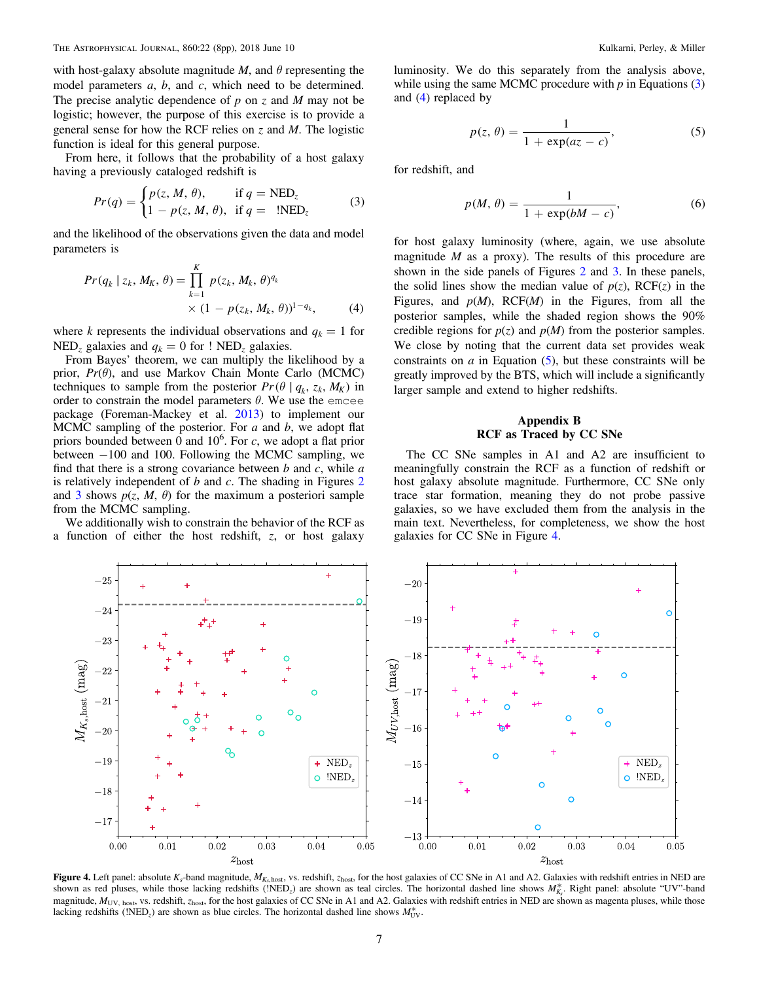<span id="page-6-0"></span>with host-galaxy absolute magnitude M, and  $\theta$  representing the model parameters  $a, b$ , and  $c$ , which need to be determined. The precise analytic dependence of  $p$  on  $z$  and  $M$  may not be logistic; however, the purpose of this exercise is to provide a general sense for how the RCF relies on  $\zeta$  and  $M$ . The logistic function is ideal for this general purpose.

From here, it follows that the probability of a host galaxy having a previously cataloged redshift is

$$
Pr(q) = \begin{cases} p(z, M, \theta), & \text{if } q = \text{NED}_z \\ 1 - p(z, M, \theta), & \text{if } q = \text{!NED}_z \end{cases}
$$
(3)

and the likelihood of the observations given the data and model parameters is

$$
Pr(q_k | z_k, M_K, \theta) = \prod_{k=1}^{K} p(z_k, M_k, \theta)^{q_k}
$$
  
 
$$
\times (1 - p(z_k, M_k, \theta))^{1 - q_k},
$$
 (4)

where k represents the individual observations and  $q_k = 1$  for NED<sub>z</sub> galaxies and  $q_k = 0$  for ! NED<sub>z</sub> galaxies.

From Bayes' theorem, we can multiply the likelihood by a prior,  $Pr(\theta)$ , and use Markov Chain Monte Carlo (MCMC) techniques to sample from the posterior  $Pr(\theta | q_k, z_k, M_K)$  in order to constrain the model parameters  $\theta$ . We use the emcee package (Foreman-Mackey et al. [2013](#page-7-0)) to implement our MCMC sampling of the posterior. For  $a$  and  $b$ , we adopt flat priors bounded between  $\overline{0}$  and  $10^6$ . For c, we adopt a flat prior between −100 and 100. Following the MCMC sampling, we find that there is a strong covariance between  $b$  and  $c$ , while  $a$ is relatively independent of  $b$  and  $c$ . The shading in Figures  $2$ and [3](#page-4-0) shows  $p(z, M, \theta)$  for the maximum a posteriori sample from the MCMC sampling.

We additionally wish to constrain the behavior of the RCF as a function of either the host redshift, z, or host galaxy luminosity. We do this separately from the analysis above, while using the same MCMC procedure with  $p$  in Equations  $(3)$ and (4) replaced by

$$
p(z, \theta) = \frac{1}{1 + \exp(az - c)},
$$
\n(5)

for redshift, and

$$
p(M, \theta) = \frac{1}{1 + \exp(bM - c)},
$$
\n<sup>(6)</sup>

for host galaxy luminosity (where, again, we use absolute magnitude  $M$  as a proxy). The results of this procedure are shown in the side panels of Figures [2](#page-3-0) and [3](#page-4-0). In these panels, the solid lines show the median value of  $p(z)$ , RCF(z) in the Figures, and  $p(M)$ , RCF $(M)$  in the Figures, from all the posterior samples, while the shaded region shows the 90% credible regions for  $p(z)$  and  $p(M)$  from the posterior samples. We close by noting that the current data set provides weak constraints on  $a$  in Equation  $(5)$ , but these constraints will be greatly improved by the BTS, which will include a significantly larger sample and extend to higher redshifts.

# Appendix B RCF as Traced by CC SNe

The CC SNe samples in A1 and A2 are insufficient to meaningfully constrain the RCF as a function of redshift or host galaxy absolute magnitude. Furthermore, CC SNe only trace star formation, meaning they do not probe passive galaxies, so we have excluded them from the analysis in the main text. Nevertheless, for completeness, we show the host galaxies for CC SNe in Figure 4.



Figure 4. Left panel: absolute K<sub>s</sub>-band magnitude,  $M_{K<sub>s</sub>host}$ , vs. redshift,  $z<sub>host</sub>$ , for the host galaxies of CC SNe in A1 and A2. Galaxies with redshift entries in NED are shown as red pluses, while those lacking redshifts (!NED<sub>z</sub>) are shown as teal circles. The horizontal dashed line shows  $M_{K_s}^*$ . Right panel: absolute "UV"-band magnitude,  $M_{\text{UV, host}}$ , vs. redshift,  $z_{\text{host}}$ , for the host galaxies of CC SNe in A1 and A2. Galaxies with redshift entries in NED are shown as magenta pluses, while those lacking redshifts (!NED<sub>z</sub>) are shown as blue circles. The horizontal dashed line shows  $M_{UV}^*$ .